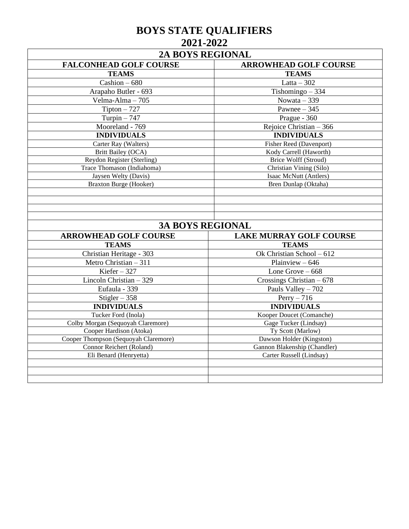## **BOYS STATE QUALIFIERS 2021-2022**

| <b>FALCONHEAD GOLF COURSE</b>                      | <b>ARROWHEAD GOLF COURSE</b>                             |  |
|----------------------------------------------------|----------------------------------------------------------|--|
| <b>TEAMS</b>                                       | <b>TEAMS</b>                                             |  |
| Cashion $-680$                                     | Latta $-302$                                             |  |
| Arapaho Butler - 693                               | Tishomingo $-334$                                        |  |
| Velma-Alma - 705                                   | Nowata $-339$                                            |  |
| $Tipton - 727$                                     | Pawnee $-345$                                            |  |
| Turpin $-747$                                      | Prague - 360                                             |  |
| Mooreland - 769                                    | Rejoice Christian $-366$                                 |  |
| <b>INDIVIDUALS</b>                                 | <b>INDIVIDUALS</b>                                       |  |
| Carter Ray (Walters)                               | <b>Fisher Reed (Davenport)</b>                           |  |
| Britt Bailey (OCA)                                 | Kody Carrell (Haworth)                                   |  |
| Reydon Register (Sterling)                         | Brice Wolff (Stroud)                                     |  |
| Trace Thomason (Indiahoma)                         | Christian Vining (Silo)                                  |  |
| Jaysen Welty (Davis)                               | Isaac McNutt (Antlers)                                   |  |
|                                                    | Bren Dunlap (Oktaha)                                     |  |
| Braxton Burge (Hooker)                             | <b>3A BOYS REGIONAL</b>                                  |  |
| <b>ARROWHEAD GOLF COURSE</b>                       | <b>LAKE MURRAY GOLF COURSE</b>                           |  |
| <b>TEAMS</b>                                       | <b>TEAMS</b>                                             |  |
| Christian Heritage - 303                           | Ok Christian School - 612                                |  |
|                                                    | Plainview $-646$                                         |  |
| Metro Christian - 311<br>Kiefer $-327$             | Lone Grove $-668$                                        |  |
| Lincoln Christian - 329                            |                                                          |  |
| Eufaula - 339                                      | Crossings Christian $-678$                               |  |
|                                                    | Pauls Valley - 702                                       |  |
| Stigler $-358$<br><b>INDIVIDUALS</b>               | $Perry - 716$<br><b>INDIVIDUALS</b>                      |  |
| Tucker Ford (Inola)                                | Kooper Doucet (Comanche)                                 |  |
| Colby Morgan (Sequoyah Claremore)                  | Gage Tucker (Lindsay)                                    |  |
| Cooper Hardison (Atoka)                            | Ty Scott (Marlow)                                        |  |
| Cooper Thompson (Sequoyah Claremore)               | Dawson Holder (Kingston)                                 |  |
| Connor Reichert (Roland)<br>Eli Benard (Henryetta) | Gannon Blakenship (Chandler)<br>Carter Russell (Lindsay) |  |